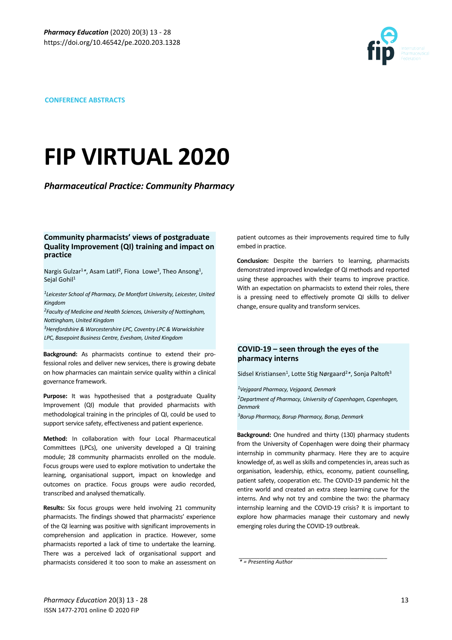

#### **CONFERENCE ABSTRACTS**

# **FIP VIRTUAL 2020**

**Pharmaceutical Practice: Community Pharmacy** 

#### **Community pharmacists' views of postgraduate Quality Improvement (QI) training and impact on practice**

Nargis Gulzar<sup>1</sup>\*, Asam Latif<sup>2</sup>, Fiona Lowe<sup>3</sup>, Theo Ansong<sup>1</sup>, Seial Gohil<sup>1</sup>

<sup>1</sup>Leicester School of Pharmacy, De Montfort University, Leicester, United *Kingdom* 

<sup>2</sup>Faculty of Medicine and Health Sciences, University of Nottingham, *Nottingham, United Kingdom* 

<sup>3</sup> Herefordshire & Worcestershire LPC, Coventry LPC & Warwickshire *LPC, Basepoint Business Centre, Evesham, United Kingdom*

**Background:** As pharmacists continue to extend their professional roles and deliver new services, there is growing debate on how pharmacies can maintain service quality within a clinical governance framework.

**Purpose:** It was hypothesised that a postgraduate Quality Improvement (QI) module that provided pharmacists with methodological training in the principles of QI, could be used to support service safety, effectiveness and patient experience.

**Method:** In collaboration with four Local Pharmaceutical Committees (LPCs), one university developed a QI training module; 28 community pharmacists enrolled on the module. Focus groups were used to explore motivation to undertake the learning, organisational support, impact on knowledge and outcomes on practice. Focus groups were audio recorded, transcribed and analysed thematically.

**Results:** Six focus groups were held involving 21 community pharmacists. The findings showed that pharmacists' experience of the QI learning was positive with significant improvements in comprehension and application in practice. However, some pharmacists reported a lack of time to undertake the learning. There was a perceived lack of organisational support and pharmacists considered it too soon to make an assessment on patient outcomes as their improvements required time to fully embed in practice.

**Conclusion:** Despite the barriers to learning, pharmacists demonstrated improved knowledge of QI methods and reported using these approaches with their teams to improve practice. With an expectation on pharmacists to extend their roles, there is a pressing need to effectively promote QI skills to deliver change, ensure quality and transform services.

# COVID-19 – seen through the eyes of the **pharmacy interns**

Sidsel Kristiansen<sup>1</sup>, Lotte Stig Nørgaard<sup>2</sup>\*, Sonja Paltoft<sup>3</sup>

*1Vejgaard Pharmacy, Vejgaard, Denmark* <sup>2</sup>Department of Pharmacy, University of Copenhagen, Copenhagen, *Denmark*

*3Borup Pharmacy, Borup Pharmacy, Borup, Denmark*

**Background:** One hundred and thirty (130) pharmacy students from the University of Copenhagen were doing their pharmacy internship in community pharmacy. Here they are to acquire knowledge of, as well as skills and competencies in, areas such as organisation, leadership, ethics, economy, patient counselling, patient safety, cooperation etc. The COVID-19 pandemic hit the entire world and created an extra steep learning curve for the interns. And why not try and combine the two: the pharmacy internship learning and the COVID-19 crisis? It is important to explore how pharmacies manage their customary and newly emerging roles during the COVID-19 outbreak.

*\_\_\_\_\_\_\_\_\_\_\_\_\_\_\_\_\_\_\_\_\_\_\_\_\_\_\_\_\_\_\_\_\_\_\_\_\_\_\_\_\_\_\_\_\_\_\_\_\_*

*\* = Presenting Author*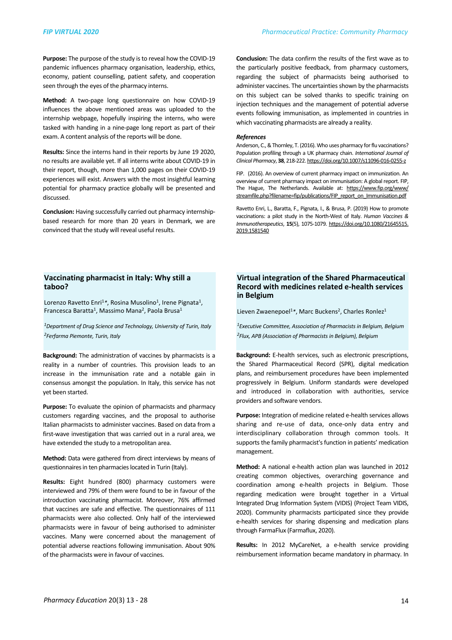**Purpose:** The purpose of the study is to reveal how the COVID-19 pandemic influences pharmacy organisation, leadership, ethics, economy, patient counselling, patient safety, and cooperation seen through the eyes of the pharmacy interns.

**Method:** A two-page long questionnaire on how COVID-19 influences the above mentioned areas was uploaded to the internship webpage, hopefully inspiring the interns, who were tasked with handing in a nine-page long report as part of their exam. A content analysis of the reports will be done.

**Results:** Since the interns hand in their reports by June 19 2020. no results are available yet. If all interns write about COVID-19 in their report, though, more than 1,000 pages on their COVID-19 experiences will exist. Answers with the most insightful learning potential for pharmacy practice globally will be presented and discussed. 

**Conclusion:** Having successfully carried out pharmacy internshipbased research for more than 20 years in Denmark, we are convinced that the study will reveal useful results.

**Conclusion:** The data confirm the results of the first wave as to the particularly positive feedback, from pharmacy customers, regarding the subject of pharmacists being authorised to administer vaccines. The uncertainties shown by the pharmacists on this subject can be solved thanks to specific training on injection techniques and the management of potential adverse events following immunisation, as implemented in countries in which vaccinating pharmacists are already a reality.

#### *References*

Anderson, C., & Thornley, T. (2016). Who uses pharmacy for flu vaccinations? Population profiling through a UK pharmacy chain. *International Journal of Clinical Pharmacy*, **38**, 218-222.<https://doi.org/10.1007/s11096-016-0255-z> 

FIP. (2016). An overview of current pharmacy impact on immunization. An overview of current pharmacy impact on immunisation: A global report. FIP. The Hague, The Netherlands. Available at: [https://www.fip.org/www/](https://www.fip.org/www/streamfile.php?filename=fip/publications/FIP_report_on_Immunisation.pdf) [streamfile.php?filename=fip/publications/FIP\\_report\\_on\\_Immunisation.pdf](https://www.fip.org/www/streamfile.php?filename=fip/publications/FIP_report_on_Immunisation.pdf)

Ravetto Enri, L., Baratta, F., Pignata, I., & Brusa, P. (2019) How to promote vaccinations: a pilot study in the North-West of Italy. *Human Vaccines & Immunotherapeutics*, **15**(5), 1075-1079. [https://doi.org/10.1080/21645515.](https://doi.org/10.1080/21645515.2019.1581540)  [2019.1581540](https://doi.org/10.1080/21645515.2019.1581540)

#### **Vaccinating pharmacist in Italy: Why still a taboo?**

Lorenzo Ravetto Enri<sup>1</sup>\*, Rosina Musolino<sup>1</sup>, Irene Pignata<sup>1</sup>, Francesca Baratta<sup>1</sup>, Massimo Mana<sup>2</sup>, Paola Brusa<sup>1</sup>

<sup>1</sup>Department of Drug Science and Technology, University of Turin, Italy *2Ferfarma Piemonte, Turin, Italy*

**Background:** The administration of vaccines by pharmacists is a reality in a number of countries. This provision leads to an increase in the immunisation rate and a notable gain in consensus amongst the population. In Italy, this service has not yet been started.

**Purpose:** To evaluate the opinion of pharmacists and pharmacy customers regarding vaccines, and the proposal to authorise Italian pharmacists to administer vaccines. Based on data from a first-wave investigation that was carried out in a rural area, we have extended the study to a metropolitan area.

**Method:** Data were gathered from direct interviews by means of questionnaires in ten pharmacies located in Turin (Italy).

**Results:** Eight hundred (800) pharmacy customers were interviewed and 79% of them were found to be in favour of the introduction vaccinating pharmacist. Moreover, 76% affirmed that vaccines are safe and effective. The questionnaires of 111 pharmacists were also collected. Only half of the interviewed pharmacists were in favour of being authorised to administer vaccines. Many were concerned about the management of potential adverse reactions following immunisation. About 90% of the pharmacists were in favour of vaccines.

# **Virtual integration of the Shared Pharmaceutical Record with medicines related e-health services in Belgium**

Lieven Zwaenepoel<sup>1</sup>\*, Marc Buckens<sup>2</sup>, Charles Ronlez<sup>1</sup>

*1Executive Committee, Association of Pharmacists in Belgium, Belgium 2Flux, APB (Association of Pharmacists in Belgium), Belgium*

**Background:** E-health services, such as electronic prescriptions, the Shared Pharmaceutical Record (SPR), digital medication plans, and reimbursement procedures have been implemented progressively in Belgium. Uniform standards were developed and introduced in collaboration with authorities, service providers and software vendors.

Purpose: Integration of medicine related e-health services allows sharing and re-use of data, once-only data entry and interdisciplinary collaboration through common tools. It supports the family pharmacist's function in patients' medication management.

**Method:** A national e-health action plan was launched in 2012 creating common objectives, overarching governance and coordination among e-health projects in Belgium. Those regarding medication were brought together in a Virtual Integrated Drug Information System (VIDIS) (Project Team VIDIS, 2020). Community pharmacists participated since they provide e-health services for sharing dispensing and medication plans through FarmaFlux (Farmaflux, 2020).

**Results:** In 2012 MyCareNet, a e-health service providing reimbursement information became mandatory in pharmacy. In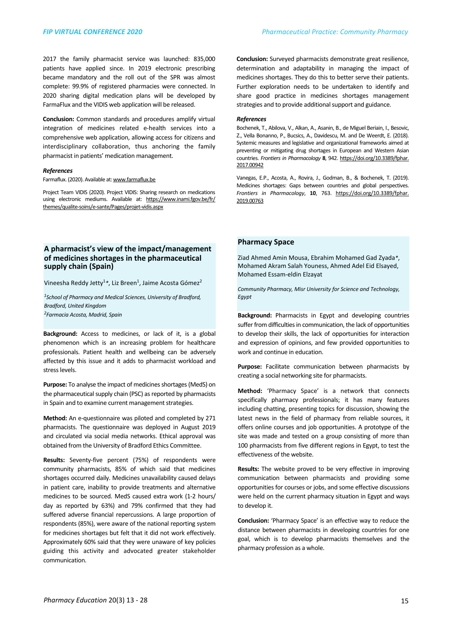2017 the family pharmacist service was launched: 835,000 patients have applied since. In 2019 electronic prescribing became mandatory and the roll out of the SPR was almost complete: 99.9% of registered pharmacies were connected. In 2020 sharing digital medication plans will be developed by FarmaFlux and the VIDIS web application will be released.

**Conclusion:** Common standards and procedures amplify virtual integration of medicines related e-health services into a comprehensive web application, allowing access for citizens and interdisciplinary collaboration, thus anchoring the family pharmacist in patients' medication management.

#### *References*

Farmaflux. (2020). Available at: [www.farmaflux.be](http://www.farmaflux.be)

Project Team VIDIS (2020). Project VIDIS: Sharing research on medications using electronic mediums. Available at: [https://www.inami.fgov.be/fr/](https://www.inami.fgov.be/fr/themes/qualite-soins/e-sante/Pages/projet-vidis.aspx) [themes/qualite-soins/e-sante/Pages/projet-vidis.aspx](https://www.inami.fgov.be/fr/themes/qualite-soins/e-sante/Pages/projet-vidis.aspx)

# A pharmacist's view of the impact/management of medicines shortages in the pharmaceutical **supply chain (Spain)**

Vineesha Reddy Jetty<sup>1</sup>\*, Liz Breen<sup>1</sup>, Jaime Acosta Gómez<sup>2</sup>

<sup>1</sup> School of Pharmacy and Medical Sciences, University of Bradford, *Bradford, United Kingdom 2Farmacia Acosta, Madrid, Spain*

**Background:** Access to medicines, or lack of it, is a global phenomenon which is an increasing problem for healthcare professionals. Patient health and wellbeing can be adversely affected by this issue and it adds to pharmacist workload and stress levels.

**Purpose:** To analyse the impact of medicines shortages (MedS) on the pharmaceutical supply chain (PSC) as reported by pharmacists in Spain and to examine current management strategies.

**Method:** An e-questionnaire was piloted and completed by 271 pharmacists. The questionnaire was deployed in August 2019 and circulated via social media networks. Ethical approval was obtained from the University of Bradford Ethics Committee.

Results: Seventy-five percent (75%) of respondents were community pharmacists, 85% of which said that medicines shortages occurred daily. Medicines unavailability caused delays in patient care, inability to provide treatments and alternative medicines to be sourced. MedS caused extra work (1-2 hours/ day as reported by 63%) and 79% confirmed that they had suffered adverse financial repercussions. A large proportion of respondents (85%), were aware of the national reporting system for medicines shortages but felt that it did not work effectively. Approximately 60% said that they were unaware of key policies guiding this activity and advocated greater stakeholder communication.

**Conclusion:** Surveyed pharmacists demonstrate great resilience, determination and adaptability in managing the impact of medicines shortages. They do this to better serve their patients. Further exploration needs to be undertaken to identify and share good practice in medicines shortages management strategies and to provide additional support and guidance.

#### *References*

Bochenek, T., Abilova, V., Alkan, A., Asanin, B., de Miguel Beriain, I., Besovic, Z., Vella Bonanno, P., Bucsics, A., Davidescu, M. and De Weerdt, E. (2018). Systemic measures and legislative and organizational frameworks aimed at preventing or mitigating drug shortages in European and Western Asian countries. Frontiers in Pharmacology 8, 942. https://doi.org/10.3389/fphar. [2017.00942](https://doi.org/10.3389/fphar.2017.00942)

Vanegas, E.P., Acosta, A., Rovira, J., Godman, B., & Bochenek, T. (2019). Medicines shortages: Gaps between countries and global perspectives. *Frontiers in Pharmacology*, **10**, 763. [https://doi.org/10.3389/fphar.](https://dx.doi.org/10.3389%2Ffphar.2019.00763) [2019.00763](https://dx.doi.org/10.3389%2Ffphar.2019.00763)

#### **Pharmacy Space**

Ziad Ahmed Amin Mousa, Ebrahim Mohamed Gad Zyada*\**, Mohamed Akram Salah Youness, Ahmed Adel Eid Elsayed, Mohamed Essam-eldin Elzayat

Community Pharmacy, Misr University for Science and Technology, *Egypt*

**Background:** Pharmacists in Egypt and developing countries suffer from difficulties in communication, the lack of opportunities to develop their skills, the lack of opportunities for interaction and expression of opinions, and few provided opportunities to work and continue in education.

Purpose: Facilitate communication between pharmacists by creating a social networking site for pharmacists.

Method: 'Pharmacy Space' is a network that connects specifically pharmacy professionals; it has many features including chatting, presenting topics for discussion, showing the latest news in the field of pharmacy from reliable sources, it offers online courses and job opportunities. A prototype of the site was made and tested on a group consisting of more than 100 pharmacists from five different regions in Egypt, to test the effectiveness of the website.

**Results:** The website proved to be very effective in improving communication between pharmacists and providing some opportunities for courses or jobs, and some effective discussions were held on the current pharmacy situation in Egypt and ways to develop it.

**Conclusion:** 'Pharmacy Space' is an effective way to reduce the distance between pharmacists in developing countries for one goal, which is to develop pharmacists themselves and the pharmacy profession as a whole.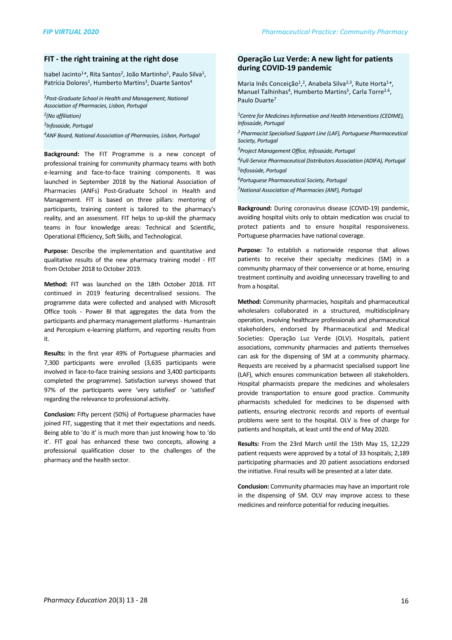#### **FIT** - the right training at the right dose

Isabel Jacinto<sup>1</sup>\*, Rita Santos<sup>2</sup>, João Martinho<sup>1</sup>, Paulo Silva<sup>1</sup>, Patrícia Dolores<sup>1</sup>, Humberto Martins<sup>3</sup>, Duarte Santos<sup>4</sup>

<sup>1</sup>Post-Graduate School in Health and Management, National *Association of Pharmacies, Lisbon, Portugal*

*2(No affiliation)*

*3Infosaúde, Portugal*

<sup>4</sup>ANF Board, National Association of Pharmacies, Lisbon, Portugal

**Background:** The FIT Programme is a new concept of professional training for community pharmacy teams with both e-learning and face-to-face training components. It was launched in September 2018 by the National Association of Pharmacies (ANFs) Post-Graduate School in Health and Management. FIT is based on three pillars: mentoring of participants, training content is tailored to the pharmacy's reality, and an assessment. FIT helps to up-skill the pharmacy teams in four knowledge areas: Technical and Scientific, Operational Efficiency, Soft Skills, and Technological.

Purpose: Describe the implementation and quantitative and qualitative results of the new pharmacy training model - FIT from October 2018 to October 2019.

Method: FIT was launched on the 18th October 2018. FIT continued in 2019 featuring decentralised sessions. The programme data were collected and analysed with Microsoft Office tools - Power BI that aggregates the data from the participants and pharmacy management platforms - Humantrain and Percepium e-learning platform, and reporting results from it.

**Results:** In the first year 49% of Portuguese pharmacies and 7,300 participants were enrolled (3,635 participants were involved in face-to-face training sessions and 3,400 participants completed the programme). Satisfaction surveys showed that 97% of the participants were 'very satisfied' or 'satisfied' regarding the relevance to professional activity.

**Conclusion:** Fifty percent (50%) of Portuguese pharmacies have joined FIT, suggesting that it met their expectations and needs. Being able to 'do it' is much more than just knowing how to 'do it'. FIT goal has enhanced these two concepts, allowing a professional qualification closer to the challenges of the pharmacy and the health sector.

## **Operação Luz Verde: A new light for patients during COVID-19 pandemic**

Maria Inês Conceição<sup>1</sup>,<sup>2</sup>, Anabela Silva<sup>2,3</sup>, Rute Horta<sup>1</sup>\*, Manuel Talhinhas<sup>4</sup>, Humberto Martins<sup>5</sup>, Carla Torre<sup>2.6</sup>, Paulo Duarte<sup>7</sup>

<sup>1</sup> Centre for Medicines Information and Health Interventions (CEDIME), *Infosaúde, Portugal* <sup>2</sup> Pharmacist Specialised Support Line (LAF), Portuguese Pharmaceutical *Society, Portugal*

*3Project Management Office, Infosaúde, Portugal*

*4Full-Service Pharmaceutical Distributors Association (ADIFA), Portugal 5Infosaúde, Portugal*

*6Portuguese Pharmaceutical Society, Portugal*

*7National Association of Pharmacies (ANF), Portugal*

**Background:** During coronavirus disease (COVID-19) pandemic, avoiding hospital visits only to obtain medication was crucial to protect patients and to ensure hospital responsiveness. Portuguese pharmacies have national coverage.

**Purpose:** To establish a nationwide response that allows patients to receive their specialty medicines (SM) in a community pharmacy of their convenience or at home, ensuring treatment continuity and avoiding unnecessary travelling to and from a hospital.

**Method:** Community pharmacies, hospitals and pharmaceutical wholesalers collaborated in a structured, multidisciplinary operation, involving healthcare professionals and pharmaceutical stakeholders, endorsed by Pharmaceutical and Medical Societies: Operação Luz Verde (OLV). Hospitals, patient associations, community pharmacies and patients themselves can ask for the dispensing of SM at a community pharmacy. Requests are received by a pharmacist specialised support line (LAF), which ensures communication between all stakeholders. Hospital pharmacists prepare the medicines and wholesalers provide transportation to ensure good practice. Community pharmacists scheduled for medicines to be dispensed with patients, ensuring electronic records and reports of eventual problems were sent to the hospital. OLV is free of charge for patients and hospitals, at least until the end of May 2020.

**Results:** From the 23rd March until the 15th May 15, 12,229 patient requests were approved by a total of 33 hospitals; 2,189 participating pharmacies and 20 patient associations endorsed the initiative. Final results will be presented at a later date.

**Conclusion:** Community pharmacies may have an important role in the dispensing of SM. OLV may improve access to these medicines and reinforce potential for reducing inequities.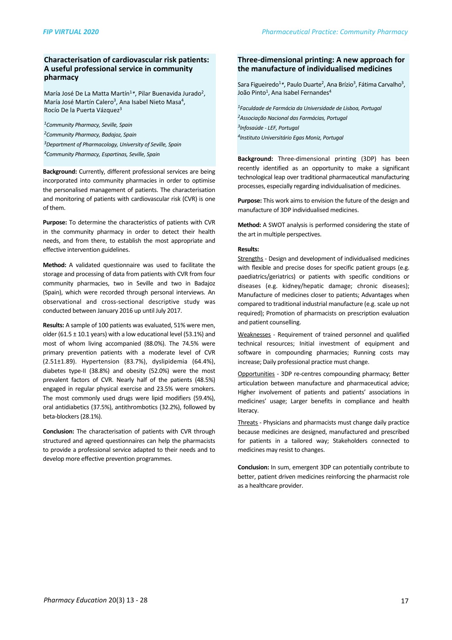# **Characterisation of cardiovascular risk patients: A useful professional service in community pharmacy**

María José De La Matta Martín<sup>1</sup>\*, Pilar Buenavida Jurado<sup>2</sup>, María José Martín Calero<sup>3</sup>, Ana Isabel Nieto Masa<sup>4</sup>, Rocío De la Puerta Vázquez<sup>3</sup>

*1Community Pharmacy, Seville, Spain 2Community Pharmacy, Badajoz, Spain 3Department of Pharmacology, University of Seville, Spain*

*4Community Pharmacy, Espartinas, Seville, Spain*

**Background:** Currently, different professional services are being incorporated into community pharmacies in order to optimise the personalised management of patients. The characterisation and monitoring of patients with cardiovascular risk (CVR) is one of them.

**Purpose:** To determine the characteristics of patients with CVR in the community pharmacy in order to detect their health needs, and from there, to establish the most appropriate and effective intervention guidelines.

**Method:** A validated questionnaire was used to facilitate the storage and processing of data from patients with CVR from four community pharmacies, two in Seville and two in Badajoz (Spain), which were recorded through personal interviews. An observational and cross-sectional descriptive study was conducted between January 2016 up until July 2017.

**Results:** A sample of 100 patients was evaluated, 51% were men. older (61.5  $\pm$  10.1 years) with a low educational level (53.1%) and most of whom living accompanied (88.0%). The 74.5% were primary prevention patients with a moderate level of CVR  $(2.51\pm1.89)$ . Hypertension  $(83.7%)$ , dyslipidemia  $(64.4%)$ , diabetes type-II  $(38.8%)$  and obesity  $(52.0%)$  were the most prevalent factors of CVR. Nearly half of the patients (48.5%) engaged in regular physical exercise and 23.5% were smokers. The most commonly used drugs were lipid modifiers (59.4%), oral antidiabetics (37.5%), antithrombotics (32.2%), followed by beta-blockers (28.1%).

**Conclusion:** The characterisation of patients with CVR through structured and agreed questionnaires can help the pharmacists to provide a professional service adapted to their needs and to develop more effective prevention programmes.

# Three-dimensional printing: A new approach for **the manufacture of individualised medicines**

Sara Figueiredo<sup>1</sup>\*, Paulo Duarte<sup>2</sup>, Ana Brízio<sup>3</sup>, Fátima Carvalho<sup>3</sup>, João Pinto<sup>1</sup>, Ana Isabel Fernandes<sup>4</sup>

*1Faculdade de Farmácia da Universidade de Lisboa, Portugal 2Associação Nacional das Farmácias, Portugal 3Infosaúde - LEF, Portugal 4Instituto Universitário Egas Moniz, Portugal*

**Background:** Three-dimensional printing (3DP) has been recently identified as an opportunity to make a significant technological leap over traditional pharmaceutical manufacturing processes, especially regarding individualisation of medicines.

**Purpose:** This work aims to envision the future of the design and manufacture of 3DP individualised medicines.

**Method:** A SWOT analysis is performed considering the state of the art in multiple perspectives.

#### **Results:**

Strengths - Design and development of individualised medicines with flexible and precise doses for specific patient groups (e.g. paediatrics/geriatrics) or patients with specific conditions or diseases (e.g. kidney/hepatic damage; chronic diseases); Manufacture of medicines closer to patients; Advantages when compared to traditional industrial manufacture (e.g. scale up not required): Promotion of pharmacists on prescription evaluation and patient counselling.

Weaknesses - Requirement of trained personnel and qualified technical resources; Initial investment of equipment and software in compounding pharmacies; Running costs may increase; Daily professional practice must change.

Opportunities - 3DP re-centres compounding pharmacy; Better articulation between manufacture and pharmaceutical advice; Higher involvement of patients and patients' associations in medicines' usage; Larger benefits in compliance and health literacy.

Threats - Physicians and pharmacists must change daily practice because medicines are designed, manufactured and prescribed for patients in a tailored way; Stakeholders connected to medicines may resist to changes.

**Conclusion:** In sum, emergent 3DP can potentially contribute to better, patient driven medicines reinforcing the pharmacist role as a healthcare provider.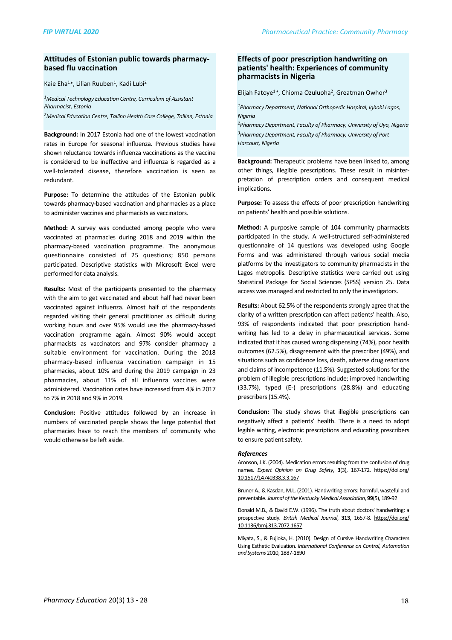#### Attitudes of Estonian public towards pharmacy**based flu vaccination**

Kaie Eha<sup>1</sup>\*, Lilian Ruuben<sup>1</sup>, Kadi Lubi<sup>2</sup>

*1Medical Technology Education Centre, Curriculum of Assistant Pharmacist, Estonia* <sup>2</sup>Medical Education Centre, Tallinn Health Care College, Tallinn, Estonia

**Background:** In 2017 Estonia had one of the lowest vaccination rates in Europe for seasonal influenza. Previous studies have shown reluctance towards influenza vaccinations as the vaccine is considered to be ineffective and influenza is regarded as a well-tolerated disease, therefore vaccination is seen as redundant.

**Purpose:** To determine the attitudes of the Estonian public towards pharmacy-based vaccination and pharmacies as a place to administer vaccines and pharmacists as vaccinators.

**Method:** A survey was conducted among people who were vaccinated at pharmacies during 2018 and 2019 within the pharmacy-based vaccination programme. The anonymous questionnaire consisted of 25 questions; 850 persons participated. Descriptive statistics with Microsoft Excel were performed for data analysis.

**Results:** Most of the participants presented to the pharmacy with the aim to get vaccinated and about half had never been vaccinated against influenza. Almost half of the respondents regarded visiting their general practitioner as difficult during working hours and over 95% would use the pharmacy-based vaccination programme again. Almost 90% would accept pharmacists as vaccinators and 97% consider pharmacy a suitable environment for vaccination. During the 2018 pharmacy-based influenza vaccination campaign in 15 pharmacies, about 10% and during the 2019 campaign in 23 pharmacies, about 11% of all influenza vaccines were administered. Vaccination rates have increased from 4% in 2017 to 7% in 2018 and 9% in 2019.

**Conclusion:** Positive attitudes followed by an increase in numbers of vaccinated people shows the large potential that pharmacies have to reach the members of community who would otherwise be left aside.

#### **Effects of poor prescription handwriting on patients' health: Experiences of community pharmacists in Nigeria**

Elijah Fatoye<sup>1</sup>\*, Chioma Ozuluoha<sup>2</sup>, Greatman Owhor<sup>3</sup>

<sup>1</sup> Pharmacy Department, National Orthopedic Hospital, Igbobi Lagos, *Nigeria*

*2Pharmacy Department, Faculty of Pharmacy, University of Uyo, Nigeria* <sup>3</sup>Pharmacy Department, Faculty of Pharmacy, University of Port *Harcourt, Nigeria*

**Background:** Therapeutic problems have been linked to, among other things, illegible prescriptions. These result in misinterpretation of prescription orders and consequent medical implications.

**Purpose:** To assess the effects of poor prescription handwriting on patients' health and possible solutions.

**Method:** A purposive sample of 104 community pharmacists participated in the study. A well-structured self-administered questionnaire of 14 questions was developed using Google Forms and was administered through various social media platforms by the investigators to community pharmacists in the Lagos metropolis. Descriptive statistics were carried out using Statistical Package for Social Sciences (SPSS) version 25. Data access was managed and restricted to only the investigators.

**Results:** About 62.5% of the respondents strongly agree that the clarity of a written prescription can affect patients' health. Also, 93% of respondents indicated that poor prescription handwriting has led to a delay in pharmaceutical services. Some indicated that it has caused wrong dispensing (74%), poor health outcomes (62.5%), disagreement with the prescriber (49%), and situations such as confidence loss, death, adverse drug reactions and claims of incompetence (11.5%). Suggested solutions for the problem of illegible prescriptions include; improved handwriting (33.7%), typed (E-) prescriptions (28.8%) and educating prescribers (15.4%).

**Conclusion:** The study shows that illegible prescriptions can negatively affect a patients' health. There is a need to adopt legible writing, electronic prescriptions and educating prescribers to ensure patient safety.

#### *References*

Aronson, J.K. (2004). Medication errors resulting from the confusion of drug names. *Expert Opinion on Drug Safety*, 3(3), 167-172. https://doi.org/ 10.1517/14740338.3.3.167

Bruner A., & Kasdan, M.L. (2001). Handwriting errors: harmful, wasteful and preventable. Journal of the Kentucky Medical Association, 99(5), 189-92

Donald M.B., & David E.W. (1996). The truth about doctors' handwriting: a prospective study. *British Medical Journal*, **313**, 1657-8. [https://doi.org/](https://doi.org/10.1136/bmj.313.7072.1657) [10.1136/bmj.313.7072.1657](https://doi.org/10.1136/bmj.313.7072.1657)

Miyata, S., & Fujioka, H. (2010). Design of Cursive Handwriting Characters Using Esthetic Evaluation. *International Conference on Control, Automation and Systems* 2010, 1887-1890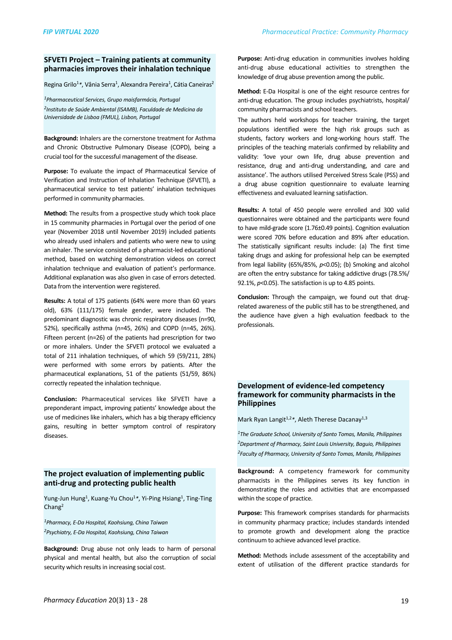#### **SFVETI Project – Training patients at community** pharmacies improves their inhalation technique

Regina Grilo<sup>1</sup>\*, Vânia Serra<sup>1</sup>, Alexandra Pereira<sup>1</sup>, Cátia Caneiras<sup>2</sup>

*1Pharmaceutical Services, Grupo maisfarmácia, Portugal 2Instituto de Saúde Ambiental (ISAMB), Faculdade de Medicina da Universidade de Lisboa (FMUL), Lisbon, Portugal*

**Background:** Inhalers are the cornerstone treatment for Asthma and Chronic Obstructive Pulmonary Disease (COPD), being a crucial tool for the successful management of the disease.

**Purpose:** To evaluate the impact of Pharmaceutical Service of Verification and Instruction of Inhalation Technique (SFVETI), a pharmaceutical service to test patients' inhalation techniques performed in community pharmacies.

**Method:** The results from a prospective study which took place in 15 community pharmacies in Portugal over the period of one year (November 2018 until November 2019) included patients who already used inhalers and patients who were new to using an inhaler. The service consisted of a pharmacist-led educational method, based on watching demonstration videos on correct inhalation technique and evaluation of patient's performance. Additional explanation was also given in case of errors detected. Data from the intervention were registered.

**Results:** A total of 175 patients (64% were more than 60 years old), 63% (111/175) female gender, were included. The predominant diagnostic was chronic respiratory diseases (n=90, 52%), specifically asthma (n=45, 26%) and COPD (n=45, 26%). Fifteen percent ( $n=26$ ) of the patients had prescription for two or more inhalers. Under the SFVETI protocol we evaluated a total of 211 inhalation techniques, of which 59 (59/211, 28%) were performed with some errors by patients. After the pharmaceutical explanations, 51 of the patients (51/59, 86%) correctly repeated the inhalation technique.

**Conclusion:** Pharmaceutical services like SFVETI have a preponderant impact, improving patients' knowledge about the use of medicines like inhalers, which has a big therapy efficiency gains, resulting in better symptom control of respiratory diseases. 

# **The project evaluation of implementing public** anti-drug and protecting public health

Yung-Jun Hung<sup>1</sup>, Kuang-Yu Chou<sup>1</sup>\*, Yi-Ping Hsiang<sup>1</sup>, Ting-Ting Chang2

*1Pharmacy, E-Da Hospital, Kaohsiung, China Taiwan 2Psychiatry, E-Da Hospital, Kaohsiung, China Taiwan* 

**Background:** Drug abuse not only leads to harm of personal physical and mental health, but also the corruption of social security which results in increasing social cost.

Purpose: Anti-drug education in communities involves holding anti-drug abuse educational activities to strengthen the knowledge of drug abuse prevention among the public.

**Method:** E-Da Hospital is one of the eight resource centres for anti-drug education. The group includes psychiatrists, hospital/ community pharmacists and school teachers.

The authors held workshops for teacher training, the target populations identified were the high risk groups such as students, factory workers and long-working hours staff. The principles of the teaching materials confirmed by reliability and validity: 'love your own life, drug abuse prevention and resistance, drug and anti-drug understanding, and care and assistance'. The authors utilised Perceived Stress Scale (PSS) and a drug abuse cognition questionnaire to evaluate learning effectiveness and evaluated learning satisfaction.

**Results:** A total of 450 people were enrolled and 300 valid questionnaires were obtained and the participants were found to have mild-grade score (1.76±0.49 points). Cognition evaluation were scored 70% before education and 89% after education. The statistically significant results include: (a) The first time taking drugs and asking for professional help can be exempted from legal liability  $(65\%/85\%$ ,  $p<0.05$ ); (b) Smoking and alcohol are often the entry substance for taking addictive drugs (78.5%/ 92.1%,  $p$ <0.05). The satisfaction is up to 4.85 points.

**Conclusion:** Through the campaign, we found out that drugrelated awareness of the public still has to be strengthened, and the audience have given a high evaluation feedback to the professionals. 

## **Development of evidence-led competency** framework for community pharmacists in the **Philippines**

Mark Ryan Langit<sup>1,2</sup>\*, Aleth Therese Dacanay<sup>1,3</sup>

<sup>1</sup>The Graduate School, University of Santo Tomas, Manila, Philippines <sup>2</sup> Department of Pharmacy, Saint Louis University, Baguio, Philippines <sup>2</sup> Faculty of Pharmacy, University of Santo Tomas, Manila, Philippines

**Background:** A competency framework for community pharmacists in the Philippines serves its key function in demonstrating the roles and activities that are encompassed within the scope of practice.

**Purpose:** This framework comprises standards for pharmacists in community pharmacy practice; includes standards intended to promote growth and development along the practice continuum to achieve advanced level practice.

**Method:** Methods include assessment of the acceptability and extent of utilisation of the different practice standards for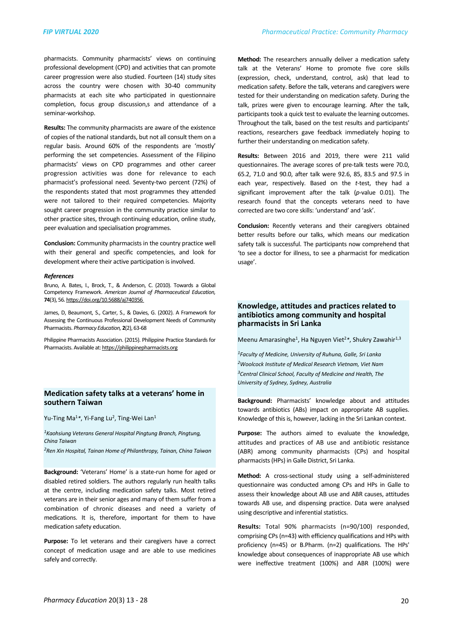pharmacists. Community pharmacists' views on continuing professional development (CPD) and activities that can promote career progression were also studied. Fourteen (14) study sites across the country were chosen with 30-40 community pharmacists at each site who participated in questionnaire completion, focus group discussion,s and attendance of a seminar-workshop.

**Results:** The community pharmacists are aware of the existence of copies of the national standards, but not all consult them on a regular basis. Around 60% of the respondents are 'mostly' performing the set competencies. Assessment of the Filipino pharmacists' views on CPD programmes and other career progression activities was done for relevance to each pharmacist's professional need. Seventy-two percent (72%) of the respondents stated that most programmes they attended were not tailored to their required competencies. Majority sought career progression in the community practice similar to other practice sites, through continuing education, online study, peer evaluation and specialisation programmes.

**Conclusion:** Community pharmacists in the country practice well with their general and specific competencies, and look for development where their active participation is involved.

#### *References*

Bruno, A. Bates, I., Brock, T., & Anderson, C. (2010). Towards a Global Competency Framework. American Journal of Pharmaceutical Education, **74**(3), 56. https://doi.org/10.5688/aj740356

James, D, Beaumont, S., Carter, S., & Davies, G. (2002). A Framework for Assessing the Continuous Professional Development Needs of Community Pharmacists. *Pharmacy Education*, 2(2), 63-68

Philippine Pharmacists Association. (2015). Philippine Practice Standards for Pharmacists. Available at: https://philippinepharmacists.org

#### **Medication safety talks at a veterans' home in southern Taiwan**

Yu-Ting Ma<sup>1</sup>\*, Yi-Fang Lu<sup>2</sup>, Ting-Wei Lan<sup>1</sup>

<sup>1</sup> Kaohsiung Veterans General Hospital Pingtung Branch, Pingtung, *China Taiwan*

*2Ren Xin Hospital, Tainan Home of Philanthropy, Tainan, China Taiwan*

**Background:** 'Veterans' Home' is a state-run home for aged or disabled retired soldiers. The authors regularly run health talks at the centre, including medication safety talks. Most retired veterans are in their senior ages and many of them suffer from a combination of chronic diseases and need a variety of medications. It is, therefore, important for them to have medication safety education.

Purpose: To let veterans and their caregivers have a correct concept of medication usage and are able to use medicines safely and correctly.

**Method:** The researchers annually deliver a medication safety talk at the Veterans' Home to promote five core skills (expression, check, understand, control, ask) that lead to medication safety. Before the talk, veterans and caregivers were tested for their understanding on medication safety. During the talk, prizes were given to encourage learning. After the talk, participants took a quick test to evaluate the learning outcomes. Throughout the talk, based on the test results and participants' reactions, researchers gave feedback immediately hoping to further their understanding on medication safety.

**Results:** Between 2016 and 2019, there were 211 valid questionnaires. The average scores of pre-talk tests were 70.0, 65.2, 71.0 and 90.0, after talk were 92.6, 85, 83.5 and 97.5 in each vear, respectively. Based on the *t*-test, they had a significant improvement after the talk  $(p$ -value 0.01). The research found that the concepts veterans need to have corrected are two core skills: 'understand' and 'ask'.

**Conclusion:** Recently veterans and their caregivers obtained better results before our talks, which means our medication safety talk is successful. The participants now comprehend that 'to see a doctor for illness, to see a pharmacist for medication usage'. 

## **Knowledge, attitudes and practices related to**  antibiotics among community and hospital **pharmacists in Sri Lanka**

Meenu Amarasinghe<sup>1</sup>, Ha Nguyen Viet<sup>2</sup>\*, Shukry Zawahir<sup>1,3</sup>

*1Faculty of Medicine, University of Ruhuna, Galle, Sri Lanka 2Woolcock Institute of Medical Research Vietnam, Viet Nam* <sup>3</sup> Central Clinical School, Faculty of Medicine and Health, The *University of Sydney, Sydney, Australia*

Background: Pharmacists' knowledge about and attitudes towards antibiotics (ABs) impact on appropriate AB supplies. Knowledge of this is, however, lacking in the Sri Lankan context.

**Purpose:** The authors aimed to evaluate the knowledge, attitudes and practices of AB use and antibiotic resistance (ABR) among community pharmacists (CPs) and hospital pharmacists (HPs) in Galle District, Sri Lanka.

**Method:** A cross-sectional study using a self-administered questionnaire was conducted among CPs and HPs in Galle to assess their knowledge about AB use and ABR causes, attitudes towards AB use, and dispensing practice. Data were analysed using descriptive and inferential statistics.

Results: Total 90% pharmacists (n=90/100) responded, comprising CPs (n=43) with efficiency qualifications and HPs with proficiency (n=45) or B.Pharm. (n=2) qualifications. The HPs' knowledge about consequences of inappropriate AB use which were ineffective treatment (100%) and ABR (100%) were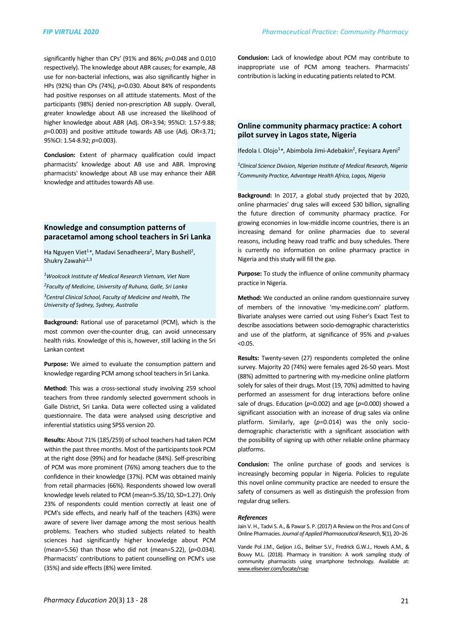significantly higher than CPs' (91% and 86%;  $p$ =0.048 and 0.010 respectively). The knowledge about ABR causes; for example, AB use for non-bacterial infections, was also significantly higher in HPs (92%) than CPs (74%), p=0.030. About 84% of respondents had positive responses on all attitude statements. Most of the participants (98%) denied non-prescription AB supply. Overall, greater knowledge about AB use increased the likelihood of higher knowledge about ABR (Adj. OR=3.94; 95%CI: 1.57-9.88;  $p=0.003$ ) and positive attitude towards AB use (Adj. OR=3.71; 95%CI: 1.54-8.92; p=0.003).

**Conclusion:** Extent of pharmacy qualification could impact pharmacists' knowledge about AB use and ABR. Improving pharmacists' knowledge about AB use may enhance their ABR knowledge and attitudes towards AB use.

### **Knowledge and consumption patterns of** paracetamol among school teachers in Sri Lanka

Ha Nguyen Viet<sup>1</sup>\*, Madavi Senadheera<sup>2</sup>, Mary Bushell<sup>2</sup>, Shukry Zawahir<sup>2,3</sup>

*1Woolcock Institute of Medical Research Vietnam, Viet Nam*

*2Faculty of Medicine, University of Ruhuna, Galle, Sri Lanka* <sup>3</sup> Central Clinical School, Faculty of Medicine and Health, The *University of Sydney, Sydney, Australia*

**Background:** Rational use of paracetamol (PCM), which is the most common over-the-counter drug, can avoid unnecessary health risks. Knowledge of this is, however, still lacking in the Sri Lankan context

**Purpose:** We aimed to evaluate the consumption pattern and knowledge regarding PCM among school teachers in Sri Lanka.

**Method:** This was a cross-sectional study involving 259 school teachers from three randomly selected government schools in Galle District, Sri Lanka. Data were collected using a validated questionnaire. The data were analysed using descriptive and inferential statistics using SPSS version 20.

**Results:** About 71% (185/259) of school teachers had taken PCM within the past three months. Most of the participants took PCM at the right dose (99%) and for headache (84%). Self-prescribing of PCM was more prominent (76%) among teachers due to the confidence in their knowledge (37%). PCM was obtained mainly from retail pharmacies (66%). Respondents showed low overall knowledge levels related to PCM (mean=5.35/10, SD=1.27). Only 23% of respondents could mention correctly at least one of PCM's side effects, and nearly half of the teachers (43%) were aware of severe liver damage among the most serious health problems. Teachers who studied subjects related to health sciences had significantly higher knowledge about PCM (mean=5.56) than those who did not (mean=5.22),  $(p=0.034)$ . Pharmacists' contributions to patient counselling on PCM's use (35%) and side effects (8%) were limited.

**Conclusion:** Lack of knowledge about PCM may contribute to inappropriate use of PCM among teachers. Pharmacists' contribution is lacking in educating patients related to PCM.

#### **Online community pharmacy practice: A cohort pilot survey in Lagos state, Nigeria**

Ifedola I. Olojo<sup>1</sup>\*, Abimbola Jimi-Adebakin<sup>2</sup>, Feyisara Ayeni<sup>2</sup>

*1Clinical Science Division, Nigerian Institute of Medical Research, Nigeria 2Community Practice, Advantage Health Africa, Lagos, Nigeria*

**Background:** In 2017, a global study projected that by 2020, online pharmacies' drug sales will exceed \$30 billion, signalling the future direction of community pharmacy practice. For growing economies in low-middle income countries, there is an increasing demand for online pharmacies due to several reasons, including heavy road traffic and busy schedules. There is currently no information on online pharmacy practice in Nigeria and this study will fill the gap.

**Purpose:** To study the influence of online community pharmacy practice in Nigeria.

**Method:** We conducted an online random questionnaire survey of members of the innovative 'my-medicine.com' platform. Bivariate analyses were carried out using Fisher's Exact Test to describe associations between socio-demographic characteristics and use of the platform, at significance of 95% and *p*-values <0.05.

**Results:** Twenty-seven (27) respondents completed the online survey. Majority 20 (74%) were females aged 26-50 years. Most (88%) admitted to partnering with my-medicine online platform solely for sales of their drugs. Most (19, 70%) admitted to having performed an assessment for drug interactions before online sale of drugs. Education  $(p=0.002)$  and age  $(p=0.000)$  showed a significant association with an increase of drug sales via online platform. Similarly, age  $(p=0.014)$  was the only sociodemographic characteristic with a significant association with the possibility of signing up with other reliable online pharmacy platforms.

**Conclusion:** The online purchase of goods and services is increasingly becoming popular in Nigeria. Policies to regulate this novel online community practice are needed to ensure the safety of consumers as well as distinguish the profession from regular drug sellers.

#### *References*

Jain V. H., Tadvi S. A., & Pawar S. P. (2017) A Review on the Pros and Cons of Online Pharmacies. *Journal of Applied Pharmaceutical Research*, **5**(1), 20–26

Vande Pol J.M., Geljion J.G., Belitser S.V., Fredrick G.W.J., Hovels A.M., & Bouvy M.L. (2018). Pharmacy in transition: A work sampling study of community pharmacists using smartphone technology. Available at: [www.elisevier.com/locate/rsap](http://www.elisevier.com/locate/rsap)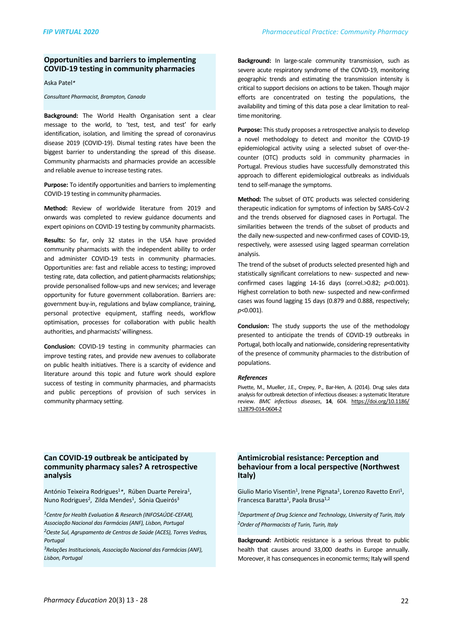# **Opportunities and barriers to implementing COVID-19 testing in community pharmacies**

Aska Patel*\**

*Consultant Pharmacist, Brampton, Canada*

**Background:** The World Health Organisation sent a clear message to the world, to 'test, test, and test' for early identification, isolation, and limiting the spread of coronavirus disease 2019 (COVID-19). Dismal testing rates have been the biggest barrier to understanding the spread of this disease. Community pharmacists and pharmacies provide an accessible and reliable avenue to increase testing rates.

**Purpose:** To identify opportunities and barriers to implementing COVID-19 testing in community pharmacies.

**Method:** Review of worldwide literature from 2019 and onwards was completed to review guidance documents and expert opinions on COVID-19 testing by community pharmacists.

**Results:** So far, only 32 states in the USA have provided community pharmacists with the independent ability to order and administer COVID-19 tests in community pharmacies. Opportunities are: fast and reliable access to testing: improved testing rate, data collection, and patient-pharmacists relationships; provide personalised follow-ups and new services; and leverage opportunity for future government collaboration. Barriers are: government buy-in, regulations and bylaw compliance, training, personal protective equipment, staffing needs, workflow optimisation, processes for collaboration with public health authorities, and pharmacists' willingness.

**Conclusion:** COVID-19 testing in community pharmacies can improve testing rates, and provide new avenues to collaborate on public health initiatives. There is a scarcity of evidence and literature around this topic and future work should explore success of testing in community pharmacies, and pharmacists and public perceptions of provision of such services in community pharmacy setting.

**Background:** In large-scale community transmission, such as severe acute respiratory syndrome of the COVID-19, monitoring geographic trends and estimating the transmission intensity is critical to support decisions on actions to be taken. Though major efforts are concentrated on testing the populations, the availability and timing of this data pose a clear limitation to realtime monitoring.

**Purpose:** This study proposes a retrospective analysis to develop a novel methodology to detect and monitor the COVID-19 epidemiological activity using a selected subset of over-thecounter (OTC) products sold in community pharmacies in Portugal. Previous studies have successfully demonstrated this approach to different epidemiological outbreaks as individuals tend to self-manage the symptoms.

**Method:** The subset of OTC products was selected considering therapeutic indication for symptoms of infection by SARS-CoV-2 and the trends observed for diagnosed cases in Portugal. The similarities between the trends of the subset of products and the daily new-suspected and new-confirmed cases of COVID-19, respectively, were assessed using lagged spearman correlation analysis.

The trend of the subset of products selected presented high and statistically significant correlations to new- suspected and newconfirmed cases lagging  $14-16$  days (correl.>0.82;  $p<0.001$ ). Highest correlation to both new- suspected and new-confirmed cases was found lagging 15 days (0.879 and 0.888, respectively; *p*<0.001).

**Conclusion:** The study supports the use of the methodology presented to anticipate the trends of COVID-19 outbreaks in Portugal, both locally and nationwide, considering representativity of the presence of community pharmacies to the distribution of populations.

#### *References*

Pivette, M., Mueller, J.E., Crepey, P., Bar-Hen, A. (2014). Drug sales data analysis for outbreak detection of infectious diseases: a systematic literature review. *BMC* infectious diseases, 14, 604. [https://doi.org/10.1186/](https://doi.org/10.1186/s12879-014-0604-2) [s12879-014-0604-2](https://doi.org/10.1186/s12879-014-0604-2)

## Can COVID-19 outbreak be anticipated by community pharmacy sales? A retrospective **analysis**

António Teixeira Rodrigues<sup>1</sup>\*, Rúben Duarte Pereira<sup>1</sup>, Nuno Rodrigues<sup>2</sup>, Zilda Mendes<sup>1</sup>, Sónia Queirós<sup>3</sup>

<sup>1</sup> Centre for Health Evaluation & Research (INFOSAÚDE-CEFAR), *Associação Nacional das Farmácias (ANF), Lisbon, Portugal* <sup>2</sup>Oeste Sul, Agrupamento de Centros de Saúde (ACES), Torres Vedras, *Portugal*

<sup>3</sup>Relações Institucionais, Associação Nacional das Farmácias (ANF), *Lisbon, Portugal*

### **Antimicrobial resistance: Perception and behaviour from a local perspective (Northwest Italy)**

Giulio Mario Visentin<sup>1</sup>, Irene Pignata<sup>1</sup>, Lorenzo Ravetto Enri<sup>1</sup>, Francesca Baratta<sup>1</sup>, Paola Brusa<sup>1,2</sup>

<sup>1</sup>Department of Drug Science and Technology, University of Turin, Italy <sup>2</sup> Order of Pharmacists of Turin, Turin, Italy

**Background:** Antibiotic resistance is a serious threat to public health that causes around 33,000 deaths in Europe annually. Moreover, it has consequences in economic terms; Italy will spend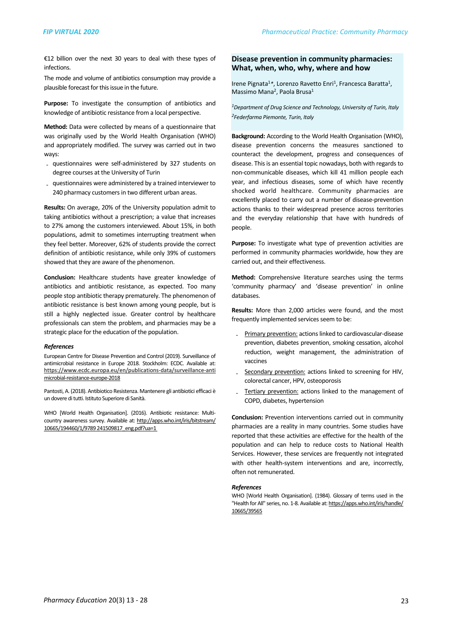€12 billion over the next 30 years to deal with these types of infections.

The mode and volume of antibiotics consumption may provide a plausible forecast for this issue in the future.

**Purpose:** To investigate the consumption of antibiotics and knowledge of antibiotic resistance from a local perspective.

**Method:** Data were collected by means of a questionnaire that was originally used by the World Health Organisation (WHO) and appropriately modified. The survey was carried out in two ways:

- questionnaires were self-administered by 327 students on degree courses at the University of Turin
- questionnaires were administered by a trained interviewer to 240 pharmacy customers in two different urban areas.

**Results:** On average, 20% of the University population admit to taking antibiotics without a prescription; a value that increases to 27% among the customers interviewed. About 15%, in both populations, admit to sometimes interrupting treatment when they feel better. Moreover, 62% of students provide the correct definition of antibiotic resistance, while only 39% of customers showed that they are aware of the phenomenon.

**Conclusion:** Healthcare students have greater knowledge of antibiotics and antibiotic resistance, as expected. Too many people stop antibiotic therapy prematurely. The phenomenon of antibiotic resistance is best known among young people, but is still a highly neglected issue. Greater control by healthcare professionals can stem the problem, and pharmacies may be a strategic place for the education of the population.

#### *References*

European Centre for Disease Prevention and Control (2019). Surveillance of antimicrobial resistance in Europe 2018. Stockholm: ECDC. Available at: [https://www.ecdc.europa.eu/en/publications-data/surveillance-anti](https://www.ecdc.europa.eu/en/publications-data/surveillance-antimicrobial-resistance-europe-2018)  [microbial-resistance-europe-2018](https://www.ecdc.europa.eu/en/publications-data/surveillance-antimicrobial-resistance-europe-2018)

Pantosti, A. (2018). Antibiotico Resistenza. Mantenere gli antibiotici efficaci è un dovere di tutti. Istituto Superiore di Sanità.

WHO [World Health Organisation]. (2016). Antibiotic resistance: Multicountry awareness survey. Available at: [http://apps.who.int/iris/bitstream/](http://apps.who.int/iris/bitstream/10665/194460/1/9789241509817_eng.pdf?ua=1) 10665/194460/1/9789 241509817\_eng.pdf?ua=1

#### **Disease prevention in community pharmacies: What, when, who, why, where and how**

Irene Pignata<sup>1</sup>\*, Lorenzo Ravetto Enri<sup>1</sup>, Francesca Baratta<sup>1</sup>, Massimo Mana<sup>2</sup>, Paola Brusa<sup>1</sup>

<sup>1</sup>Department of Drug Science and Technology, University of Turin, Italy *2Federfarma Piemonte, Turin, Italy*

**Background:** According to the World Health Organisation (WHO), disease prevention concerns the measures sanctioned to counteract the development, progress and consequences of disease. This is an essential topic nowadays, both with regards to non-communicable diseases, which kill 41 million people each year, and infectious diseases, some of which have recently shocked world healthcare. Community pharmacies are excellently placed to carry out a number of disease-prevention actions thanks to their widespread presence across territories and the everyday relationship that have with hundreds of people.

**Purpose:** To investigate what type of prevention activities are performed in community pharmacies worldwide, how they are carried out, and their effectiveness.

**Method:** Comprehensive literature searches using the terms 'community pharmacy' and 'disease prevention' in online databases.

**Results:** More than 2,000 articles were found, and the most frequently implemented services seem to be:

- Primary prevention: actions linked to cardiovascular-disease prevention, diabetes prevention, smoking cessation, alcohol reduction, weight management, the administration of vaccines
- Secondary prevention: actions linked to screening for HIV, colorectal cancer, HPV, osteoporosis
- Tertiary prevention: actions linked to the management of COPD, diabetes, hypertension

**Conclusion:** Prevention interventions carried out in community pharmacies are a reality in many countries. Some studies have reported that these activities are effective for the health of the population and can help to reduce costs to National Health Services. However, these services are frequently not integrated with other health-system interventions and are, incorrectly, often not remunerated.

#### *References*

WHO [World Health Organisation]. (1984). Glossary of terms used in the "Health for All" series, no. 1-8. Available at: https://apps.who.int/iris/handle/ [10665/39565](https://apps.who.int/iris/handle/10665/39565)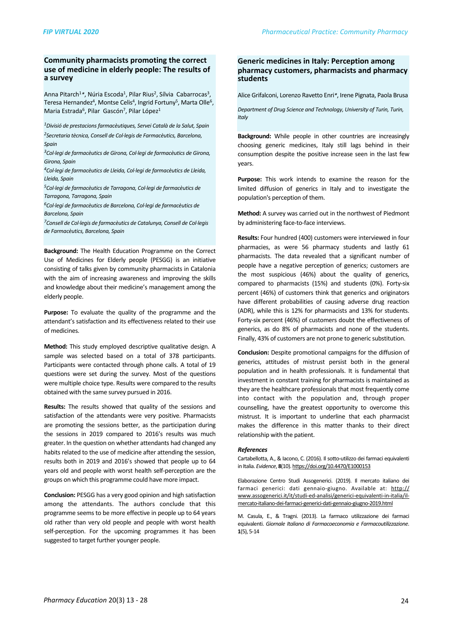#### **Community pharmacists promoting the correct** use of medicine in elderly people: The results of **a survey**

Anna Pitarch<sup>1</sup>\*, Núria Escoda<sup>1</sup>, Pilar Rius<sup>2</sup>, Sílvia Cabarrocas<sup>3</sup>, Teresa Hernandez<sup>4</sup>, Montse Celis<sup>4</sup>, Ingrid Fortuny<sup>5</sup>, Marta Olle<sup>6</sup>, Maria Estrada<sup>6</sup>, Pilar Gascón<sup>7</sup>, Pilar López<sup>1</sup>

*1Divisió de prestacions farmacèutiques, Servei Català de la Salut, Spain* <sup>2</sup> Secretaria tècnica, Consell de Col·legis de Farmacèutics, Barcelona, *Spain*

<sup>3</sup>Col·legi de farmacèutics de Girona, Col·legi de farmacèutics de Girona, *Girona, Spain*

<sup>4</sup>Col·legi de farmacèutics de Lleida, Col·legi de farmacèutics de Lleida, *Lleida, Spain*

<sup>5</sup>Col·legi de farmacèutics de Tarragona, Col·legi de farmacèutics de *Tarragona, Tarragona, Spain*

<sup>6</sup>Col·legi de farmacèutics de Barcelona, Col·legi de farmacèutics de *Barcelona, Spain*

<sup>7</sup> Consell de Col·legis de farmacèutics de Catalunya, Consell de Col·legis *de Farmacèutics, Barcelona, Spain*

**Background:** The Health Education Programme on the Correct Use of Medicines for Elderly people (PESGG) is an initiative consisting of talks given by community pharmacists in Catalonia with the aim of increasing awareness and improving the skills and knowledge about their medicine's management among the elderly people.

**Purpose:** To evaluate the quality of the programme and the attendant's satisfaction and its effectiveness related to their use of medicines.

**Method:** This study employed descriptive qualitative design. A sample was selected based on a total of 378 participants. Participants were contacted through phone calls. A total of 19 questions were set during the survey. Most of the questions were multiple choice type. Results were compared to the results obtained with the same survey pursued in 2016.

**Results:** The results showed that quality of the sessions and satisfaction of the attendants were very positive. Pharmacists are promoting the sessions better, as the participation during the sessions in 2019 compared to 2016's results was much greater. In the question on whether attendants had changed any habits related to the use of medicine after attending the session, results both in 2019 and 2016's showed that people up to 64 years old and people with worst health self-perception are the groups on which this programme could have more impact.

**Conclusion:** PESGG has a very good opinion and high satisfaction among the attendants. The authors conclude that this programme seems to be more effective in people up to 64 years old rather than very old people and people with worst health self-perception. For the upcoming programmes it has been suggested to target further younger people.

# **Generic medicines in Italy: Perception among** pharmacy customers, pharmacists and pharmacy **students**

Alice Grifalconi, Lorenzo Ravetto Enri<sup>\*</sup>, Irene Pignata, Paola Brusa

Department of Drug Science and Technology, University of Turin, Turin, *Italy*

**Background:** While people in other countries are increasingly choosing generic medicines, Italy still lags behind in their consumption despite the positive increase seen in the last few years.

**Purpose:** This work intends to examine the reason for the limited diffusion of generics in Italy and to investigate the population's perception of them.

**Method:** A survey was carried out in the northwest of Piedmont by administering face-to-face interviews.

**Results:** Four hundred (400) customers were interviewed in four pharmacies, as were 56 pharmacy students and lastly 61 pharmacists. The data revealed that a significant number of people have a negative perception of generics; customers are the most suspicious  $(46%)$  about the quality of generics, compared to pharmacists (15%) and students (0%). Forty-six percent (46%) of customers think that generics and originators have different probabilities of causing adverse drug reaction (ADR), while this is 12% for pharmacists and 13% for students. Forty-six percent (46%) of customers doubt the effectiveness of generics, as do 8% of pharmacists and none of the students. Finally, 43% of customers are not prone to generic substitution.

**Conclusion:** Despite promotional campaigns for the diffusion of generics, attitudes of mistrust persist both in the general population and in health professionals. It is fundamental that investment in constant training for pharmacists is maintained as they are the healthcare professionals that most frequently come into contact with the population and, through proper counselling, have the greatest opportunity to overcome this mistrust. It is important to underline that each pharmacist makes the difference in this matter thanks to their direct relationship with the patient.

#### *References*

Cartabellotta, A., & Iacono, C. (2016). Il sotto-utilizzo dei farmaci equivalenti in Italia. *Evidence*, 8(10). https://doi.org/10.4470/E1000153

Elaborazione Centro Studi Assogenerici. (2019). Il mercato italiano dei farmaci generici: dati gennaio-giugno. Available at: [http://](http://www.assogenerici.it/it/studi-ed-analisi/generici-equivalenti-in-italia/il-mercato-italiano-dei-farmaci-generici-dati-gennaio-giugno-2019.html) [www.assogenerici.it/it/studi-ed-analisi/generici-equivalenti-in-italia/il](http://www.assogenerici.it/it/studi-ed-analisi/generici-equivalenti-in-italia/il-mercato-italiano-dei-farmaci-generici-dati-gennaio-giugno-2019.html)[mercato-italiano-dei-farmaci-generici-dati-gennaio-giugno-2019.html](http://www.assogenerici.it/it/studi-ed-analisi/generici-equivalenti-in-italia/il-mercato-italiano-dei-farmaci-generici-dati-gennaio-giugno-2019.html)

M. Casula, E., & Tragni. (2013). La farmaco utilizzazione dei farmaci equivalenti. *Giornale Italiano di Farmacoeconomia e Farmacoutilizzazione*. **1**(5), 5-14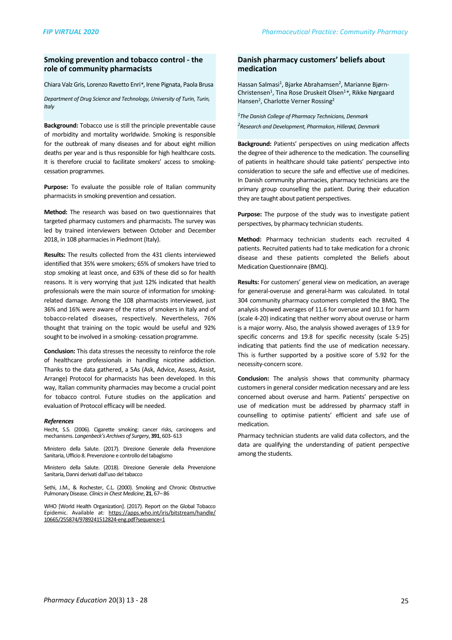#### **Smoking prevention and tobacco control - the role of community pharmacists**

Chiara Valz Gris, Lorenzo Ravetto Enri<sup>\*</sup>, Irene Pignata, Paola Brusa

*Department of Drug Science and Technology, University of Turin, Turin, Italy*

**Background:** Tobacco use is still the principle preventable cause of morbidity and mortality worldwide. Smoking is responsible for the outbreak of many diseases and for about eight million deaths per year and is thus responsible for high healthcare costs. It is therefore crucial to facilitate smokers' access to smokingcessation programmes.

Purpose: To evaluate the possible role of Italian community pharmacists in smoking prevention and cessation.

**Method:** The research was based on two questionnaires that targeted pharmacy customers and pharmacists. The survey was led by trained interviewers between October and December 2018, in 108 pharmacies in Piedmont (Italy).

**Results:** The results collected from the 431 clients interviewed identified that 35% were smokers; 65% of smokers have tried to stop smoking at least once, and 63% of these did so for health reasons. It is very worrying that just 12% indicated that health professionals were the main source of information for smokingrelated damage. Among the 108 pharmacists interviewed, just 36% and 16% were aware of the rates of smokers in Italy and of tobacco-related diseases, respectively. Nevertheless, 76% thought that training on the topic would be useful and 92% sought to be involved in a smoking- cessation programme.

**Conclusion:** This data stresses the necessity to reinforce the role of healthcare professionals in handling nicotine addiction. Thanks to the data gathered, a 5As (Ask, Advice, Assess, Assist, Arrange) Protocol for pharmacists has been developed. In this way, Italian community pharmacies may become a crucial point for tobacco control. Future studies on the application and evaluation of Protocol efficacy will be needed.

#### *References*

Hecht, S.S. (2006). Cigarette smoking: cancer risks, carcinogens and mechanisms. Langenbeck's Archives of Surgery, 391, 603-613

Ministero della Salute. (2017). Direzione Generale della Prevenzione Sanitaria, Ufficio 8. Prevenzione e controllo del tabagismo

Ministero della Salute. (2018). Direzione Generale della Prevenzione Sanitaria, Danni derivati dall'uso del tabacco

Sethi, J.M., & Rochester, C.L. (2000). Smoking and Chronic Obstructive Pulmonary Disease. *Clinics in Chest Medicine*, **21**, 67–86

WHO [World Health Organization]. (2017). Report on the Global Tobacco Epidemic. Available at: [https://apps.who.int/iris/bitstream/handle/](https://apps.who.int/iris/bitstream/handle/10665/255874/9789241512824-eng.pdf?sequence=1) [10665/255874/9789241512824-eng.pdf?sequence=1](https://apps.who.int/iris/bitstream/handle/10665/255874/9789241512824-eng.pdf?sequence=1)

## Danish pharmacy customers' beliefs about **medication**

Hassan Salmasi<sup>1</sup>, Bjarke Abrahamsen<sup>2</sup>, Marianne Bjørn-Christensen<sup>1</sup>, Tina Rose Druskeit Olsen<sup>1</sup>\*, Rikke Nørgaard Hansen<sup>2</sup>, Charlotte Verner Rossing<sup>2</sup>

<sup>1</sup>The Danish College of Pharmacy Technicians, Denmark *2Research and Development, Pharmakon, Hillerød, Denmark*

**Background:** Patients' perspectives on using medication affects the degree of their adherence to the medication. The counselling of patients in healthcare should take patients' perspective into consideration to secure the safe and effective use of medicines. In Danish community pharmacies, pharmacy technicians are the primary group counselling the patient. During their education they are taught about patient perspectives.

**Purpose:** The purpose of the study was to investigate patient perspectives, by pharmacy technician students.

**Method:** Pharmacy technician students each recruited 4 patients. Recruited patients had to take medication for a chronic disease and these patients completed the Beliefs about Medication Questionnaire (BMQ).

**Results:** For customers' general view on medication, an average for general-overuse and general-harm was calculated. In total 304 community pharmacy customers completed the BMQ. The analysis showed averages of 11.6 for overuse and 10.1 for harm (scale 4-20) indicating that neither worry about overuse or harm is a major worry. Also, the analysis showed averages of 13.9 for specific concerns and 19.8 for specific necessity (scale 5-25) indicating that patients find the use of medication necessary. This is further supported by a positive score of  $5.92$  for the necessity-concern score.

**Conclusion:** The analysis shows that community pharmacy customers in general consider medication necessary and are less concerned about overuse and harm. Patients' perspective on use of medication must be addressed by pharmacy staff in counselling to optimise patients' efficient and safe use of medication.

Pharmacy technician students are valid data collectors, and the data are qualifying the understanding of patient perspective among the students.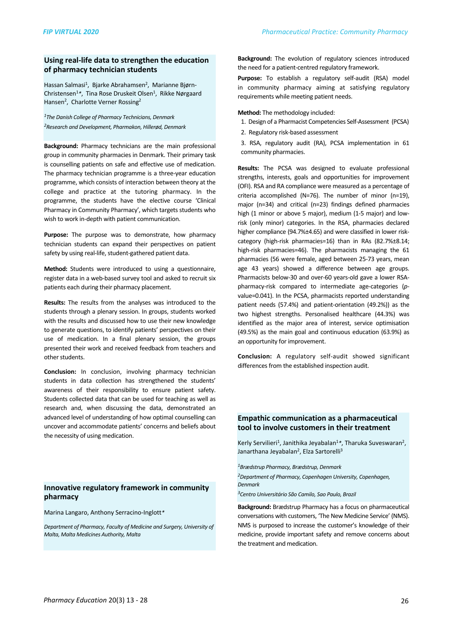# **Using real-life data to strengthen the education of pharmacy technician students**

Hassan Salmasi<sup>1</sup>, Bjarke Abrahamsen<sup>2</sup>, Marianne Bjørn-Christensen<sup>1</sup>\*, Tina Rose Druskeit Olsen<sup>1</sup>, Rikke Nørgaard Hansen<sup>2</sup>, Charlotte Verner Rossing<sup>2</sup>

<sup>1</sup>The Danish College of Pharmacy Technicians, Denmark *2Research and Development, Pharmakon, Hillerød, Denmark*

**Background:** Pharmacy technicians are the main professional group in community pharmacies in Denmark. Their primary task is counselling patients on safe and effective use of medication. The pharmacy technician programme is a three-year education programme, which consists of interaction between theory at the college and practice at the tutoring pharmacy. In the programme, the students have the elective course 'Clinical Pharmacy in Community Pharmacy', which targets students who wish to work in-depth with patient communication.

**Purpose:** The purpose was to demonstrate, how pharmacy technician students can expand their perspectives on patient safety by using real-life, student-gathered patient data.

**Method:** Students were introduced to using a questionnaire, register data in a web-based survey tool and asked to recruit six patients each during their pharmacy placement.

**Results:** The results from the analyses was introduced to the students through a plenary session. In groups, students worked with the results and discussed how to use their new knowledge to generate questions, to identify patients' perspectives on their use of medication. In a final plenary session, the groups presented their work and received feedback from teachers and other students.

**Conclusion:** In conclusion, involving pharmacy technician students in data collection has strengthened the students' awareness of their responsibility to ensure patient safety. Students collected data that can be used for teaching as well as research and, when discussing the data, demonstrated an advanced level of understanding of how optimal counselling can uncover and accommodate patients' concerns and beliefs about the necessity of using medication.

# **Innovative regulatory framework in community pharmacy**

Marina Langaro, Anthony Serracino-Inglott*\**

Department of Pharmacy, Faculty of Medicine and Surgery, University of *Malta, Malta Medicines Authority, Malta*

**Background:** The evolution of regulatory sciences introduced the need for a patient-centred regulatory framework.

Purpose: To establish a regulatory self-audit (RSA) model in community pharmacy aiming at satisfying regulatory requirements while meeting patient needs.

**Method:** The methodology included:

- 1. Design of a Pharmacist Competencies Self-Assessment (PCSA)
- 2. Regulatory risk-based assessment
- 3. RSA, regulatory audit (RA), PCSA implementation in 61 community pharmacies.

**Results:** The PCSA was designed to evaluate professional strengths, interests, goals and opportunities for improvement (OFI). RSA and RA compliance were measured as a percentage of criteria accomplished (N=76). The number of minor (n=19), major ( $n=34$ ) and critical ( $n=23$ ) findings defined pharmacies high  $(1 \text{ minor or above } 5 \text{ major})$ , medium  $(1-5 \text{ major})$  and lowrisk (only minor) categories. In the RSA, pharmacies declared higher compliance (94.7%±4.65) and were classified in lower riskcategory (high-risk pharmacies=16) than in RAs (82.7%±8.14; high-risk pharmacies=46). The pharmacists managing the 61 pharmacies (56 were female, aged between 25-73 years, mean age 43 years) showed a difference between age groups. Pharmacists below-30 and over-60 years-old gave a lower RSApharmacy-risk compared to intermediate age-categories (*p*value=0.041). In the PCSA, pharmacists reported understanding patient needs (57.4%) and patient-orientation (49.2%)) as the two highest strengths. Personalised healthcare (44.3%) was identified as the major area of interest, service optimisation (49.5%) as the main goal and continuous education (63.9%) as an opportunity for improvement.

**Conclusion:** A regulatory self-audit showed significant differences from the established inspection audit.

# **Empathic communication as a pharmaceutical** tool to involve customers in their treatment

Kerly Servilieri<sup>1</sup>, Janithika Jeyabalan<sup>1</sup>\*, Tharuka Suveswaran<sup>2</sup>, Janarthana Jeyabalan<sup>2</sup>, Elza Sartorelli<sup>3</sup>

*1Brædstrup Pharmacy, Brædstrup, Denmark* <sup>2</sup>Department of Pharmacy, Copenhagen University, Copenhagen, *Denmark*

*3Centro Universitário São Camilo, Sao Paulo, Brazil*

**Background:** Brædstrup Pharmacy has a focus on pharmaceutical conversations with customers, 'The New Medicine Service' (NMS). NMS is purposed to increase the customer's knowledge of their medicine, provide important safety and remove concerns about the treatment and medication.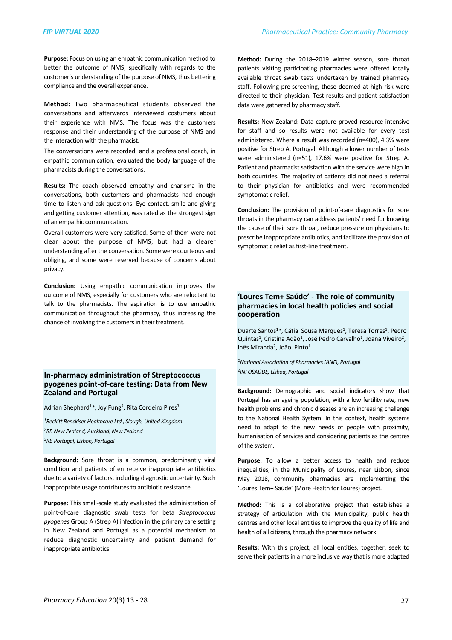Purpose: Focus on using an empathic communication method to better the outcome of NMS, specifically with regards to the customer's understanding of the purpose of NMS, thus bettering compliance and the overall experience.

Method: Two pharmaceutical students observed the conversations and afterwards interviewed costumers about their experience with NMS. The focus was the customers response and their understanding of the purpose of NMS and the interaction with the pharmacist.

The conversations were recorded, and a professional coach, in empathic communication, evaluated the body language of the pharmacists during the conversations.

**Results:** The coach observed empathy and charisma in the conversations, both customers and pharmacists had enough time to listen and ask questions. Eye contact, smile and giving and getting customer attention, was rated as the strongest sign of an empathic communication.

Overall customers were very satisfied. Some of them were not clear about the purpose of NMS; but had a clearer understanding after the conversation. Some were courteous and obliging, and some were reserved because of concerns about privacy.

**Conclusion:** Using empathic communication improves the outcome of NMS, especially for customers who are reluctant to talk to the pharmacists. The aspiration is to use empathic communication throughout the pharmacy, thus increasing the chance of involving the customers in their treatment.

## **In-pharmacy administration of Streptococcus**  pyogenes point-of-care testing: Data from New **Zealand and Portugal**

Adrian Shephard<sup>1</sup>\*, Joy Fung<sup>2</sup>, Rita Cordeiro Pires<sup>3</sup>

*1Reckitt Benckiser Healthcare Ltd., Slough, United Kingdom*

*2RB New Zealand, Auckland, New Zealand*

*3RB Portugal, Lisbon, Portugal*

**Background:** Sore throat is a common, predominantly viral condition and patients often receive inappropriate antibiotics due to a variety of factors, including diagnostic uncertainty. Such inappropriate usage contributes to antibiotic resistance.

**Purpose:** This small-scale study evaluated the administration of point-of-care diagnostic swab tests for beta *Streptococcus* pyogenes Group A (Strep A) infection in the primary care setting in New Zealand and Portugal as a potential mechanism to reduce diagnostic uncertainty and patient demand for inappropriate antibiotics.

Method: During the 2018-2019 winter season, sore throat patients visiting participating pharmacies were offered locally available throat swab tests undertaken by trained pharmacy staff. Following pre-screening, those deemed at high risk were directed to their physician. Test results and patient satisfaction data were gathered by pharmacy staff.

**Results:** New Zealand: Data capture proved resource intensive for staff and so results were not available for every test administered. Where a result was recorded (n=400), 4.3% were positive for Strep A. Portugal: Although a lower number of tests were administered  $(n=51)$ , 17.6% were positive for Strep A. Patient and pharmacist satisfaction with the service were high in both countries. The majority of patients did not need a referral to their physician for antibiotics and were recommended symptomatic relief.

**Conclusion:** The provision of point-of-care diagnostics for sore throats in the pharmacy can address patients' need for knowing the cause of their sore throat, reduce pressure on physicians to prescribe inappropriate antibiotics, and facilitate the provision of symptomatic relief as first-line treatment.

## 'Loures Tem+ Saúde' - The role of community pharmacies in local health policies and social **cooperation**

Duarte Santos<sup>1</sup>\*, Cátia Sousa Marques<sup>1</sup>, Teresa Torres<sup>1</sup>, Pedro Quintas<sup>1</sup>, Cristina Adão<sup>1</sup>, José Pedro Carvalho<sup>1</sup>, Joana Viveiro<sup>2</sup>, Inês Miranda<sup>2</sup>, João Pinto<sup>1</sup>

*1National Association of Pharmacies (ANF), Portugal 2INFOSAÚDE, Lisboa, Portugal*

**Background:** Demographic and social indicators show that Portugal has an ageing population, with a low fertility rate, new health problems and chronic diseases are an increasing challenge to the National Health System. In this context, health systems need to adapt to the new needs of people with proximity, humanisation of services and considering patients as the centres of the system.

Purpose: To allow a better access to health and reduce inequalities, in the Municipality of Loures, near Lisbon, since May 2018, community pharmacies are implementing the 'Loures Tem+ Saúde' (More Health for Loures) project.

**Method:** This is a collaborative project that establishes a strategy of articulation with the Municipality, public health centres and other local entities to improve the quality of life and health of all citizens, through the pharmacy network.

**Results:** With this project, all local entities, together, seek to serve their patients in a more inclusive way that is more adapted